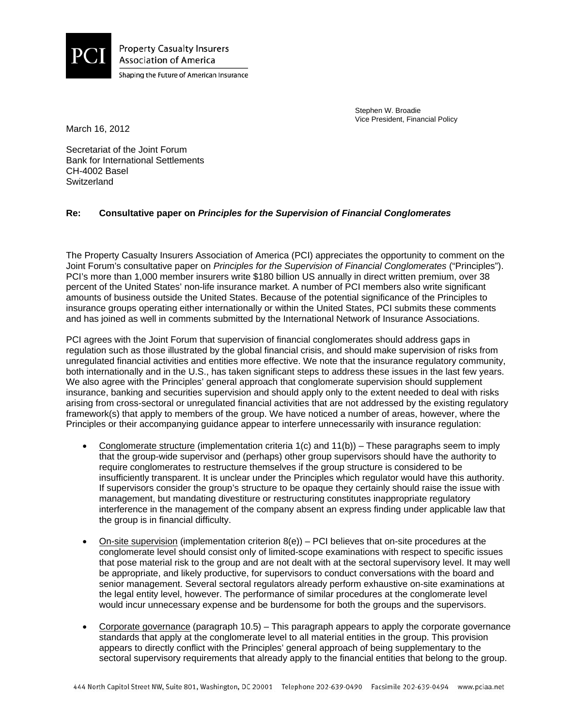

**Property Casualty Insurers Association of America** Shaping the Future of American Insurance

> Stephen W. Broadie Vice President, Financial Policy

March 16, 2012

Secretariat of the Joint Forum Bank for International Settlements CH-4002 Basel **Switzerland** 

## **Re: Consultative paper on** *Principles for the Supervision of Financial Conglomerates*

The Property Casualty Insurers Association of America (PCI) appreciates the opportunity to comment on the Joint Forum's consultative paper on *Principles for the Supervision of Financial Conglomerates* ("Principles"). PCI's more than 1,000 member insurers write \$180 billion US annually in direct written premium, over 38 percent of the United States' non-life insurance market. A number of PCI members also write significant amounts of business outside the United States. Because of the potential significance of the Principles to insurance groups operating either internationally or within the United States, PCI submits these comments and has joined as well in comments submitted by the International Network of Insurance Associations.

PCI agrees with the Joint Forum that supervision of financial conglomerates should address gaps in regulation such as those illustrated by the global financial crisis, and should make supervision of risks from unregulated financial activities and entities more effective. We note that the insurance regulatory community, both internationally and in the U.S., has taken significant steps to address these issues in the last few years. We also agree with the Principles' general approach that conglomerate supervision should supplement insurance, banking and securities supervision and should apply only to the extent needed to deal with risks arising from cross-sectoral or unregulated financial activities that are not addressed by the existing regulatory framework(s) that apply to members of the group. We have noticed a number of areas, however, where the Principles or their accompanying guidance appear to interfere unnecessarily with insurance regulation:

- Conglomerate structure (implementation criteria 1(c) and 11(b)) These paragraphs seem to imply that the group-wide supervisor and (perhaps) other group supervisors should have the authority to require conglomerates to restructure themselves if the group structure is considered to be insufficiently transparent. It is unclear under the Principles which regulator would have this authority. If supervisors consider the group's structure to be opaque they certainly should raise the issue with management, but mandating divestiture or restructuring constitutes inappropriate regulatory interference in the management of the company absent an express finding under applicable law that the group is in financial difficulty.
- On-site supervision (implementation criterion  $8(e)$ ) PCI believes that on-site procedures at the conglomerate level should consist only of limited-scope examinations with respect to specific issues that pose material risk to the group and are not dealt with at the sectoral supervisory level. It may well be appropriate, and likely productive, for supervisors to conduct conversations with the board and senior management. Several sectoral regulators already perform exhaustive on-site examinations at the legal entity level, however. The performance of similar procedures at the conglomerate level would incur unnecessary expense and be burdensome for both the groups and the supervisors.
- Corporate governance (paragraph  $10.5$ ) This paragraph appears to apply the corporate governance standards that apply at the conglomerate level to all material entities in the group. This provision appears to directly conflict with the Principles' general approach of being supplementary to the sectoral supervisory requirements that already apply to the financial entities that belong to the group.